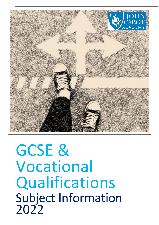

GCSE & Vocational Qualifications Subject Information 2022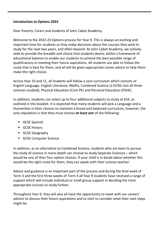# **Introduction to Options 2022**

Dear Parents, Carers and students of John Cabot Academy,

Welcome to the 2022-23 Options process for Year 9. This is always an exciting and important time for students as they make decisions about the courses they wish to study for the next two years, and often beyond. At John Cabot Academy, we actively seek to provide the breadth and choice that students desire, within a framework of educational balance to enable our students to achieve the best possible range of qualifications in meeting their future aspirations. All students are able to follow the route that is best for them, and all will be given appropriate career advice to help them make the right choice.

Across Year 10 and 11, all students will follow a core curriculum which consists of English Language, English Literature, Maths, Combined Science (2 GCSEs but all three sciences studied), Physical Education (Core PE) and Personal Education (PSHE).

In addition, students can select up to four additional subjects to study at KS4, as outlined in this booklet. it is expected that many students will pick a Language and a Humanities in their choices to maintain a broad and balanced curriculum, however, the only stipulation is that they must choose *at least one* of the following:

- GCSE Spanish
- **GCSE History**
- GCSE Geography
- **GCSE Computer Science**

In addition, as an alternative to Combined Science, students who are keen to pursue the study of science in more depth can choose to study Separate Sciences – which would be one of their four option choices. If your child is in doubt about whether this would be the right route for them, they can speak with their science teacher.

Advice and guidance is an important part of the process and during the final week of Term 3 and the first three weeks of Term 4 all Year 9 students have received a range of support which will include individual or small group support in deciding the most appropriate courses to study further.

Throughout Year 9, they will also all have the opportunity to meet with our careers' advisor to discuss their future aspirations and to start to consider what their next steps might be.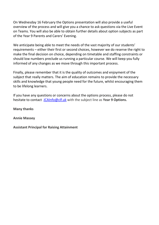On Wednesday 16 February the Options presentation will also provide a useful overview of the process and will give you a chance to ask questions via the Live Event on Teams. You will also be able to obtain further details about option subjects as part of the Year 9 Parents and Carers' Evening.

We anticipate being able to meet the needs of the vast majority of our students' requirements – either their first or second choices, however we do reserve the right to make the final decision on choice, depending on timetable and staffing constraints or should low numbers preclude us running a particular course. We will keep you fully informed of any changes as we move through this important process.

Finally, please remember that it is the quality of outcomes and enjoyment of the subject that really matters. The aim of education remains to provide the necessary skills and knowledge that young people need for the future, whilst encouraging them to be lifelong learners.

If you have any questions or concerns about the options process, please do not hesitate to contact [JCAInfo@clf.uk](mailto:JCAInfo@clf.uk) with the subject line as **Year 9 Options.**

**Many thanks**

**Annie Massey**

**Assistant Principal for Raising Attainment**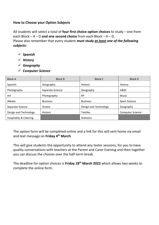# **How to Choose your Option Subjects**

All students will select a total of **four first choice option choices** to study – one from each Block – A – D **and one second choice** from each Block – A – D. Please also remember that every student *must study at least one of the following subjects:*

- *Spanish*
- *History*
- *Geography*
- *Computer Science*

| <b>Block A</b>                    | <b>Block B</b>   | <b>Block C</b>        | <b>Block D</b>       |
|-----------------------------------|------------------|-----------------------|----------------------|
| Spanish                           | Geography        | History               | History              |
| Photography                       | Separate Science | Geography             | H&SC                 |
| Art                               | Photography      | <b>RP</b>             | Music                |
| iMedia                            | <b>Business</b>  | <b>Business</b>       | <b>Sport Science</b> |
| Separate Science                  | Drama            | Design and Technology | Geography            |
| Design and Technology             | History          | <b>Textiles</b>       | Computer Science     |
| <b>Hospitality &amp; Catering</b> |                  | <b>Statistics</b>     |                      |

The option form will be completed online and a link for this will sent home via email and text message on **Friday 4th March**.

This will give students the opportunity to attend any taster sessions, for you to have quality conversations with teachers at the Parent and Carer Evening and then together you can discuss the choices over the half-term break.

The deadline for option choices is **Friday 18th March 2022** which allows two weeks to complete the online form.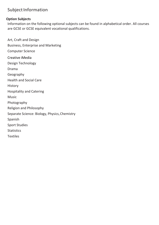# **Option Subjects**

Information on the following optional subjects can be found in alphabetical order. All courses are GCSE or GCSE equivalent vocational qualifications.

Art, Craft and Design Business, Enterprise and Marketing Computer Science Creative iMedia Design Technology Drama Geography Health and Social Care **History** Hospitality and Catering Music Photography Religion and Philosophy Separate Science: Biology, Physics,Chemistry Spanish Sport Studies **Statistics Textiles**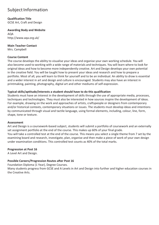**Qualification Title** GCSE Art, Craft and Design

**Awarding Body and Website**  AQA <http://www.aqa.org.uk/>

**Main Teacher Contact** Mrs. Campbell

#### **Course Content**

The course develops the ability to visualise your ideas and organise your own working schedule. You will also become used to working with a wide range of materials and techniques. You will learn where to look for original ideas and how to become more independently creative. Art and Design develops your own potential in the creative field. You will be taught how to present your ideas and research and how to prepare a portfolio. Most of all, you will learn to think for yourself and to be an individual. An ability to draw is essential and a wider interest in art and design and culture is encouraged. Students may also have an interest in printmaking, painting, photography, digital art and other mediums of self-expression.

#### **Typical skills/aptitude/interests a student should have to do this qualification**

Students must have an interest in the development of skills through the use of appropriate media, processes, techniques and technologies. They must also be interested in how sources inspire the development of ideas. For example, drawing on the work and approaches of artists, craftspeople or designers from contemporary and/or historical contexts, contemporary situations or issues. The students must develop ideas and intentions by communicated through visual and tactile language, using formal elements, including, colour, line, form, shape, tone or texture.

#### **Assessment**

Art and Design is a coursework-based subject, students will submit a portfolio of coursework and an externally set assignment portfolio at the end of the course. This makes up 60% of your final grade. You will take a controlled test at the end of the course. This means you select a single theme from 7 set by the examining board and research, investigate, plan, organise and then make a piece of work of your own design under examination conditions. This controlled test counts as 40% of the total marks.

# **Progression at Post 16**

A Level Art and Design.

# **Possible Careers/Progression Routes after Post 16**

Foundation Diploma (1 Year), Degree Courses.

Many students progress from GCSE and A Levels in Art and Design into further and higher education courses in the Creative Arts.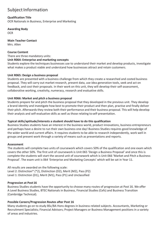#### **Qualification Title**

OCR Nationals in Business, Enterprise and Marketing

**Awarding Body OCR** 

**Main Teacher Contact** Mrs. Allen

#### **Course Content**

There are three mandatory units:

#### **Unit R064: Enterprise and marketing concepts**

Students explore the techniques businesses use to understand their market and develop products, investigate what makes a product viable and understand how businesses attract and retain customers.

#### **Unit R065: Design a business proposal**

Students are presented with a business challenge from which they create a researched and costed business proposal. They will carry out market research, present data, use idea generation tools, seek and act on feedback, and cost their proposals. In their work on this unit, they will develop their self-assessment, collaborative working, creativity, numeracy, research and evaluative skills.

#### **Unit R066: Market and pitch a business proposal**

Students prepare for and pitch the business proposal that they developed in the previous unit. They develop a brand identity and investigate how best to promote their product and then plan, practise and finally deliver their pitch. Afterwards they review both their performance and their business proposal. This will help develop their analysis and self-evaluative skills as well as those relating to self-presentation.

#### **Typical skills/aptitude/interests a student should have to do this qualification**

Business Studies students have an interest in the business world, product innovations, business entrepreneurs and perhaps have a desire to run their own business one day! Business Studies requires good knowledge of the wider world and current affairs. It requires students to be able to research independently, work well in groups and present work through a variety of means such as presentations and reports.

#### **Assessment**

The students will complete two units of coursework which covers 50% of the qualification and one exam which covers the other 50%. The first unit of coursework is Unit 065 'Design a Business Proposal' and once this is complete the students will start the second unit of coursework which is Unit 066 'Market and Pitch a Business Proposal'. The exam unit is 064 'Enterprise and Marketing Concepts' which will be sat in Year 11.

All results are awarded on the following scale: Level 2: Distinction\* (\*2), Distinction (D2), Merit (M2), Pass (P2) Level 1: Distinction (D1), Merit (M1), Pass (P1) and Unclassified

#### **Progression at Post 16**

Business Studies students have the opportunity to choose many routes of progression at Post 16. We offer A Level Business Studies, BTEC Nationals in Business, Financial Studies (Cefs) and Business Transition (Cambridge Technical).

#### **Possible Careers/Progression Routes after Post 16**

Many students go on to study BSc/BA Hons degrees in business related subjects. Accountants, Marketing or Recruitment Specialists; Financial Advisors; Project Managers or Business Management positions in a variety of areas and industries.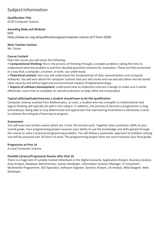**Qualification Title**

GCSE Computer Science

#### **Awarding Body and Website**

**OCR** <https://www.ocr.org.uk/qualifications/gcse/computer-science-j277-from-2020/>

#### **Main Teacher Contact**

Mr. Foster

### **Course Content**

Over the course you will cover the following:

• **Computational thinking:** this is the process of thinking through a complex problem, taking the time to understand what the problem is and then develop potential solutions for evaluation. These are then presented in a way that a computer, a human, or both, can understand.

• **Theoretical content:** here you will understand the fundamentals of data representation and computer networks. You will earn about the computer systems that you will create and use and also delve into the world cyber security and ethical legal and environmental impacts of digital technology.

• **Aspects of software development:** understand how to implement and test a design to make sure it works effectively. Learn how to complete an overall evaluation to help refine the endproduct.

#### **Typical skills/aptitude/interests a student should have to do this qualification**

Computer Science evolved from Mathematics, as such, a student who has strengths in mathematical and logical thinking will typically do well in this subject. In addition, the journey to become a programmer is long and arduous, being able to stay determined and appreciate that overcoming frustrations is absolutely crucial to achieve the end goal of learning to program.

#### **Assessment**

You will have two written exams which are 1 hour 30 minutes each. Together they contribute 100% of your overall grade. Your programming project assesses your ability to use the knowledge and skills gained through the course to solve a practical programming problem. You will follow a systematic approach to problem-solving and will be assessed over 20 hours of work. The programming project does not count towards your final grade.

#### **Progression at Post 16**

A Level Computer Science.

# **Possible Careers/Progression Routes after Post 16**

There is a huge lack of suitably trained individuals in the digital economy. Application Analyst, Business Analyst, Data Analyst, Database Administrator, Games Developer, Information Systems Manager, IT Consultant, Multimedia Programmer, SEO Specialist, Software Engineer, Systems Analyst, UX Analyst, Web Designer, Web Developer.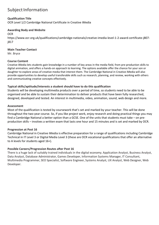### **Qualification Title**

OCR Level 1/2 Cambridge National Certificate in Creative iMedia

#### **Awarding Body and Website**

**OCR** 

[https://www.ocr.org.uk/qualifications/cambridge-nationals/creative-imedia-level-1-2-award-certificate-j807](https://www.ocr.org.uk/qualifications/cambridge-nationals/creative-imedia-level-1-2-award-certificate-j807-%20j817) [j817](https://www.ocr.org.uk/qualifications/cambridge-nationals/creative-imedia-level-1-2-award-certificate-j807-%20j817)

#### **Main Teacher Contact**

Mr. Bryce

#### **Course Content**

Creative iMedia lets students gain knowledge in a number of key areas in the media field, from pre-production skills to digital animation, and offers a hands-on approach to learning. The options available offer the chance for your son or daughter to explore areas of creative media that interest them. The Cambridge National in Creative iMedia will also provide opportunities to develop useful transferable skills such as research, planning, and review, working with others and communicating creative concepts effectively.

#### **Typical skills/aptitude/interests a student should have to do this qualification**

Students will be developing multimedia products over a period of time, so students need to be able to be organised and be able to sustain their determination to deliver products that have been fully researched, designed, developed and tested. An interest in multimedia, video, animation, sound, web design and more.

#### **Assessment**

Most of the qualification is tested by coursework that's set and marked by your teacher. This will be done throughout the two-year course. So, if you like project work, enjoy research and doing practical things you may find a Cambridge National a better option than a GCSE. One of the units that students must take – on preproduction skills – involves a written exam that lasts one hour and 15 minutes and is set and marked by OCR.

#### **Progression at Post 16**

Cambridge National in Creative iMedia is effective preparation for a range of qualifications including Cambridge Technical in IT Level 3 or Digital Media Level 3 (these are OCR vocational qualifications that offer an alternative to A levels for students aged 16+).

#### **Possible Careers/Progression Routes after Post 16**

There is a huge lack of suitably trained individuals in the digital economy. Application Analyst, Business Analyst, Data Analyst, Database Administrator, Games Developer, Information Systems Manager, IT Consultant, Multimedia Programmer, SEO Specialist, Software Engineer, Systems Analyst, UX Analyst, Web Designer, Web Developer.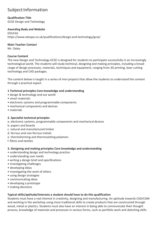# **Qualification Title**

GCSE Design and Technology

#### **Awarding Body and Website**

EDUCAS htt[ps://www.eduqas.co.uk/qualifications/design-and-technology/gcse/](http://www.eduqas.co.uk/qualifications/design-and-technology/gcse/)

#### **Main Teacher Contact**

Mr. Oxley

#### **Course Content**

The new Design and Technology GCSE is designed for students to participate successfully in an increasingly technological world. The students will study technical, designing and making principles, including a broad range of design processes, materials, techniques and equipment, ranging from 3D printing, laser cutting technology and CAD packages.

The content below is taught in a series of mini projects that allow the students to understand the content through a practical aspect.

#### **1 Technical principles Core knowledge and understanding**

- design & technology and our world
- smart materials
- electronic systems and programmable components
- mechanical components and devices
- materials

# **2. Specialist technical principles**

a. electronic systems, programmable components and mechanical devices

- b. papers and boards
- c. natural and manufactured timber
- d. ferrous and non-ferrous metals
- e. thermoforming and thermosetting polymers
- f. fibres and textiles

#### **3. Designing and making principles Core knowledge and understanding**

- understanding design and technology practice
- understanding user needs
- writing a design brief and specifications
- investigating challenges
- developing ideas
- investigating the work of others
- using design strategies
- communicating ideas
- developing a prototype
- making decisions

#### **Typical skills/aptitude/interests a student should have to do this qualification**

Students must have a real interest in creativity, designing and manufacturing. An aptitude towards CAD/CAM and working in the workshop using more traditional skills to create products that are constructed through wood, metal or plastics. Students must also have an interest in being able to communicate their thought process, knowledge of materials and processes in various forms, such as portfolio work and sketching skills.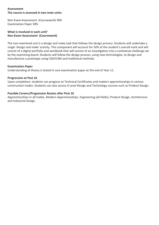#### **Assessment The course is assessed in two main units:**

Non-Exam Assessment (Coursework) 50% Examination Paper 50%

#### **What is involved in each unit? Non-Exam Assessment (Coursework)**

The non-examined unit is a design and make task that follows the design process. Students will undertake a single 'design and make' activity. This component will account for 50% of the student's overall mark and will consist of a digital portfolio and workbook that will consist of an investigation into a contextual challenge set by the examining board. Students will follow the design process, using new technologies, to design and manufacture a prototype using CAD/CAM and traditional methods.

#### **Examination Paper**

Understanding of theory is tested in one examination paper at the end of Year 11.

#### **Progression at Post 16**

Upon completion, students can progress to Technical Certificates and modern apprenticeships in various construction trades. Students can also access A Level Design and Technology courses such as Product Design.

#### **Possible Careers/Progression Routes after Post 16**

Apprenticeships in all trades, Modern Apprenticeships, Engineering (all fields), Product Design, Architecture and Industrial Design.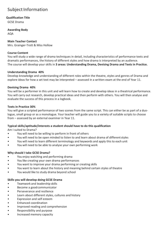#### **Qualification Title**

GCSE Drama

# **Awarding Body**

AQA

# **Main Teacher Contact**

Mrs. Grainger-Trott & Miss Hollow

#### **Course Content**

You will study a wide range of drama techniques in detail, including characteristics of performance texts and dramatic performances, the history of different styles and how drama is interpreted by an audience. The course will develop your skills in **3 areas: Understanding Drama, Devising Drama and Texts in Practice.**

#### **Understanding Drama 40%**

Develop knowledge and understanding of different roles within the theatre, styles and genres of Drama and explore ideas for how a set text may be interpreted – assessed in a written exam at the end of Year 11.

#### **Devising Drama 40%**

You will be a performer in this unit and will learn how to create and develop ideas in a theatrical performance. You will carry out research, develop practical ideas and then perform with others. You will then analyse and evaluate the success of this process in a logbook.

#### **Texts in Practice 30%**

You will give a scripted performance of two scenes from the same script. This can either be as part of a duologue, small group or as a monologue. Your teacher will guide you to a variety of suitable scripts to choose from – assessed by an external examiner in Year 11.

# **Typical skills/aptitude/interests a student should have to do this qualification**

Am I suited to Drama?

- You will need to be willing to perform in front of others
- You will need to be open minded to listen to and learn about drama of different styles
- You will need to learn different terminology and keywords and apply this to each unit
- You will need to be able to analyse your own performing work

# **Why should I take GCSE Drama?**

- You enjoy watching and performing drama
- You like creating your own drama performances
- You want to improve your drama performing or creating skills
- You want to learn about the history and meaning behind certain styles of theatre
- You would like to study drama beyond school

# **Skills you will develop doing GCSE Drama**

- Teamwork and leadership skills
- Become a goodcommunicator
- Perseverance and resilience
- Learn about different styles, cultures and history
- Expression and self esteem
- Enhanced coordination
- Improved reading and comprehension
- Responsibility and purpose
- Increased memory capacity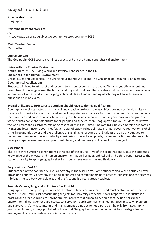# **Qualification Title**

Geography

#### **Awarding Body and Website**

AQA <http://www.aqa.org.uk/subjects/geography/gcse/geography-8035>

**Main Teacher Contact** Miss Dutton

# **Course Content**

The Geography GCSE course examines aspects of both the human and physical environment.

# **Living with the Physical Environment:**

Natural Hazards, The Living World and Physical Landscapes in the UK.

#### **Challenges in the Human Environment:**

Urban Issues and Challenges, The Changing Economic World and The Challenge of Resource Management. **Geographical Applications:**

Students will have to interpret and respond to a seen resource in the exam. This is a synoptic element and draws from knowledge across the human and physical modules. There is also a fieldwork element, excursions within Bristol will extend students geographical skills and understanding which they will have to answer questions on in an exam.

# **Typical skills/aptitude/interests a student should have to do this qualification**

Geography is well respected as a practical and creative problem-solving subject. An interest in global issues, travel and current affairs will be useful and will help students to create informed opinions. If you wonder why there are rich and poor countries, how cities grow, how we can prevent flooding and how we can give our world a sustainable and safe future for all people and species, then Geography is for you. Students will travel the world from the classroom, exploring case studies in the United Kingdom (UK), newly emerging economies (NEEs) and lower income countries (LICs). Topics of study include climate change, poverty, deprivation, global shifts in economic power and the challenge of sustainable resource use. Students are also encouraged to understand their own role in society, by considering different viewpoints, values and attitudes. Students who have good spatial awareness and proficient literacy and numeracy will do well in the subject.

# **Assessment**

There are three written examinations at the end of the course. Two of the examinations assess the student's knowledge of the physical and human environment as well as geographical skills. The third paper assesses the student's ability to apply geographical skills through issue evaluation and fieldwork.

# **Progression at Post 16**

Students can opt to continue A Level Geography in the Sixth Form. Some students also wish to study A Level Travel and Tourism. Geography is a popular subject and complements both practical subjects and the sciences. It bridges the gap between Sciences and the Arts and is a real gateway subject.

# **Possible Careers/Progression Routes after Post 16**

Geography constantly tops polls of desired option subjects by universities and most sectors of industry. It is on the Russell Group's list of facilitating subjects for university entry and is well respected in industry as a practical and creative problem-solving subject. Careers that appeal to geographers include hazard and environmental management, architects, conservation, earth sciences, engineering, teaching, town planners and surveyors. Many accountants and management trainee schemes also recruit heavily from geography graduates. Indeed, surveys published indicate that Geographers have the second highest post-graduation employment rate of all subjects studied at university.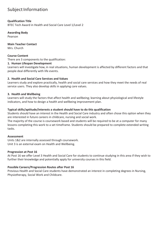### **Qualification Title**

BTEC Tech Award in Health and Social Care Level 1/Level 2

#### **Awarding Body**

Pearson

**Main Teacher Contact** Mrs. Church

# **Course Content**

There are 3 components to the qualification:

#### **1. Human Lifespan Development**

Learners will investigate how, in real situations, human development is affected by different factors and that people deal differently with life events.

#### **2. Health and Social Care Services and Values**

Learners study and explore practically, health and social care services and how they meet the needs of real service users. They also develop skills in applying care values.

#### **3. Health and Wellbeing**

Learners will study the factors that affect health and wellbeing; learning about physiological and lifestyle indicators, and how to design a health and wellbeing improvement plan.

#### **Typical skills/aptitude/interests a student should have to do this qualification**

Students should have an interest in the Health and Social Care industry and often chose this option when they are interested in future careers in childcare, nursing and social work.

The majority of the course is coursework based and students will be required to be at a computer for many lessons completing this work to a set timeframe. Students should be prepared to complete extended writing tasks.

#### **Assessment**

Units 1&2 are internally assessed through coursework. Unit 3 is an external exam on Health and Wellbeing.

#### **Progression at Post 16**

At Post 16 we offer Level 3 Health and Social Care for students to continue studying in this area if they wish to further their knowledge and potentially apply for university courses in this field.

#### **Possible Careers/Progression Routes after Post 16**

Previous Health and Social Care students have demonstrated an interest in completing degrees in Nursing, Physiotherapy, Social Work and Childcare.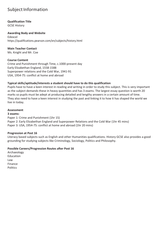# **Qualification Title**

GCSE History

#### **Awarding Body and Website**

Edexcel https://qualifications.pearson.com/en/subjects/history.html

# **Main Teacher Contact**

Ms. Knight and Mr. Coe

# **Course Content**

Crime and Punishment through Time, c.1000-present day Early Elizabethan England, 1558-1588 Superpower relations and the Cold War, 1941-91 USA, 1954-75: conflict at home and abroad

# **Typical skills/aptitude/interests a student should have to do this qualification**

Pupils have to have a keen interest in reading and writing in order to study this subject. This is very important as the subject demands these in heavy quantities and has 3 exams. The largest essay question is worth 20 marks so pupils must be adept at producing detailed and lengthy answers in a certain amount of time. They also need to have a keen interest in studying the past and linking it to how it has shaped the world we live in today.

# **Assessment**

### **3 exams:**

Paper 1: Crime and Punishment (1hr 15) Paper 2: Early Elizabethan England and Superpower Relations and the Cold War (1hr 45 mins) Paper 3: USA, 1954-75: conflict at home and abroad (1hr 20 mins)

# **Progression at Post 16**

Literacy based subjects such as English and other Humanities qualifications. History GCSE also provides a good grounding for studying subjects like Criminology, Sociology, Politics and Philosophy.

# **Possible Careers/Progression Routes after Post 16**

Archaeology Education Law Finance Politics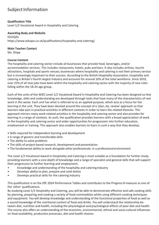# **Qualification Title**

Level 1/2 Vocational Award in Hospitality and Catering

#### **Awarding Body and Website**

EDUQAS htt[ps://www.eduqas.co.uk/qualifications/hospitality-and-catering/](http://www.eduqas.co.uk/qualifications/hospitality-and-catering/)

#### **Main Teacher Contact**

Ms. Shipp

# **Course Content**

The hospitality and catering sector include all businesses that provide food, beverages, and/or accommodation services. This includes restaurants, hotels, pubs and bars. It also includes airlines, tourist attractions, hospitals and sports venues; businesses where hospitality and catering is not their primary service but is increasingly important to their success. According to the British Hospitality Association, hospitality and catering is Britain's fourth largest industry and accounts for around 10% of the total workforce. Since 2010, over 25% of all new jobs have been within the hospitality and catering sector with the majority of new roles falling within the 18-24 age group.

Each of the units of the WJEC Level 1/2 Vocational Award in Hospitality and Catering has been designed so that knowledge, skills and understanding are developed through tasks that have many of the characteristics of real work in the sector. Each unit has what is referred to as an applied purpose, which acts as a focus for the learning in the unit. They have been devised around the concept of a 'plan, do, review' approach so that learners take part in practical activities in different contexts in order to learn the related theories. This approach mirrors many work-related activities in the hospitality and catering sector and also provides for learning in a range of contexts. As such, the qualification provides learners with a broad appreciation of work in the hospitality and catering sector and wider opportunities for progression into further education, employment or training. This approach also enables learners to learn in such a way that they develop:

- Skills required for independent learning and development
- A range of generic and transferable skills
- The ability to solve problems
- The skills of project-based research, development and presentation
- The fundamental ability to work alongside other professionals, in a professionalenvironment

The Level 1/2 Vocational Award in Hospitality and Catering is most suitable as a foundation for further study, providing learners with a core depth of knowledge and a range of specialist and general skills that will support their progression to further learning and employment.

- Knowledge and understanding of the hospitality and catering industry
- Develops ability to plan, prepare and cook dishes
- Develops practical skills for the catering industry

This qualification is on the DfE 2024 Performance Tables and contributes to the Progress 8 measure as one of the 'other' qualifications.

By studying Level 1/2 Hospitality and Catering, you will be able to demonstrate effective and safe cooking skills by planning, preparing and cooking a variety of food commodities whilst using different cooking techniques and equipment. You will develop knowledge and understanding of the functional properties of food as well as a sound knowledge of the nutritional content of food and drinks. You will understand the relationship between diet, nutrition and health, including the physiological and psychological effects of poor diet and health. The course also offers an understanding of the economic, environmental, ethical and socio-cultural influences on food availability, production processes, diet and health choices.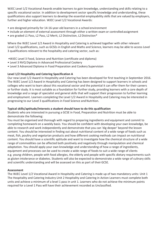WJEC Level 1/2 Vocational Awards enable learners to gain knowledge, understanding and skills relating to a specific vocational sector. In addition to development sector specific knowledge and understanding, these qualifications also support learners to develop the essential employability skills that are valued by employers, further and higher education. WJEC Level 1/2 Vocational Awards:

- are designed primarily for 14-16-year-old learners in a school environment
- include an element of external assessment through either a written exam or controlled assignment
- are graded L1 Pass, L2 Pass, L2 Merit, L2 Distinction, L2 Distinction\*

Where the WJEC Level 1/2 Award in Hospitality and Catering is achieved together with other relevant Level 1/2 qualifications, such as GCSEs in English and Maths and Science, learners may be able to access Level 3 qualifications relevant to the hospitality and catering sector, such as:

- •WJEC Level 3 Food, Science and Nutrition (certificate and diploma)
- Level 3 NVQ Diploma in Advanced Professional Cookery
- Level 3 Advanced Diploma in Food Preparation and Cookery Supervision

#### **Level 1/2 Hospitality and Catering Specification A**

Our new Level 1/2 Award in Hospitality and Catering has been developed for first teaching in September 2016. The WJEC Level 1/2 Award in Hospitality and Catering has been designed to support learners in schools and colleges who want to learn about this vocational sector and the potential it can offer them for their careers or further study. It is most suitable as a foundation for further study, providing learners with a core depth of knowledge and a range of specialist and general skills that will support their progression to further learning and employment. Learners completing the Level 1/2 Award in Hospitality and Catering may be interested in progressing to our Level 3 qualifications in Food Science and Nutrition.

#### **Typical skills/aptitude/interests a student should have to do this qualification**

Students who are interested in pursuing a GCSE in Food, Preparation and Nutrition must be able to demonstrate the following:

You must be organised and thorough with regard to preparing ingredients and equipment and commit to completing homework on a weekly basis. You should be confident with developing your own knowledge, be able to research and work independently and demonstrate that you can 'dig deeper' beyond the lesson content. You should be interested in finding out about nutritional content of a wide range of foods such as meat, fish, poultry and vegetarian products and how different cooking methods can impact on nutritional content. You should have a scientific aptitude and want to investigate how the chemical structure of a wide range of commodities can be affected both positively and negatively through manipulation and chemical adaptation. You should apply your own knowledge and understanding of how a range of ingredients, equipment and processes can be used to create a wide range of foods to suit a wide range of clients e.g. young children, people with food allergies, the elderly and people with specific dietary requirements such as gluten intolerance or diabetes. Students will also be expected to demonstrate a wide range of culinary skills and scientific understanding and will be assessed on this as part of their GCSE.

#### **Assessment**

The WJEC Level 1/2 Vocational Award in Hospitality and Catering is made up of two mandatory units: Unit 1 The Hospitality and Catering Industry Unit 2 Hospitality and Catering in Action Learners must complete both units and achieve a minimum of a level 1 pass in unit 1. Learners who do not achieve the minimum points required for a Level 1 Pass will have their achievement recorded as Unclassified.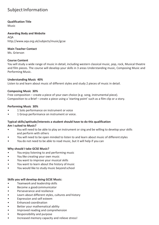### **Qualification Title**

Music

#### **Awarding Body and Website**

AQA <http://www.aqa.org.uk/subjects/music/gcse>

#### **Main Teacher Contact**

Ms. Grierson

#### **Course Content**

You will study a wide range of music in detail, including western classical music, pop, rock, Musical theatre and film pieces. The course will develop your skills in 3 areas Understanding music, Composing Music and Performing Music.

#### **Understanding Music 40%**

Listen to and learn about music of different styles and study 2 pieces of music in detail.

#### **Composing Music 30%**

Free composition – create a piece of your own choice (e.g. song, instrumental piece). Composition to a Brief – create a piece using a 'starting point' such as a film clip or a story.

#### **Performing Music 30%**

- 1 Solo performance on instrument or voice
- 1 Group performance on instrument or voice.

#### **Typical skills/aptitude/interests a student should have to do this qualification Am I suited to Music?**

- You will need to be able to play an instrument or sing and be willing to develop your skills and perform with others
- You will need to be open minded to listen to and learn about music of different styles
- You do not need to be able to read music, but it will help if you can

# **Why should I take GCSE Music?**

- You enjoy listening to and performing music
- You like creating your own music
- You want to improve your musical skills
- You want to learn about the history of music
- You would like to study music beyond school

# **Skills you will develop doing GCSE Music:**

- Teamwork and leadership skills
- Become a goodcommunicator
- Perseverance and resilience
- Learn about different styles, cultures and history
- Expression and self esteem
- Enhanced coordination
- Better your mathematical ability
- Improved reading and comprehension
- Responsibility and purpose
- Increased memory capacity and relieve stress!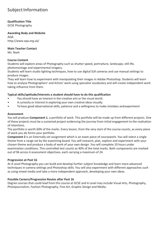### **Qualification Title**

GCSE Photography

#### **Awarding Body and Website**

AQA <http://www.aqa.org.uk/>

#### **Main Teacher Contact**

Ms. Nash

# **Course Content**

Students will explore areas of Photography such as shutter speed, portraiture, landscape, still life, photomontage and experimental imagery.

Students will learn studio lighting techniques, how to use digital SLR cameras and use manual settings to produce images.

They will learn how to experiment with manipulating their images in Adobe Photoshop. Students will learn how to analyse Photographers' and Artists' work using specialist vocabulary and will create independent work taking influence from them.

# **Typical skills/aptitude/interests a student should have to do this qualification**

- You should have an interest in the creative arts or the visual world.
- A curiosity or interest in exploring your own creative ideas visually.
- To have good observational skills, patience and a willingness to make mistakes andexperiment

#### **Assessment**

You will produce **Component 1**, a portfolio of work. This portfolio will be made up from different projects. One of these projects must be a sustained project evidencing the journey from initial engagement to the realisation of intentions.

The portfolio is worth 60% of the marks. Every lesson, from the very start of the course counts, as every piece of work you do forms your portfolio.

**Component 2** is an Externally set assignment which is an exam piece of coursework. You will select a single theme from a range set by the examining board. You will research, plan, explore and experiment with your chosen theme and produce a body of work of your own design. You will complete 10 hours under examination conditions. This controlled test counts as 40% of the total marks. Both components are marked out of 96 across 4 assessment objectives, each carrying a maximum of 24.

# **Progression at Post 16**

At A Level Photography you can build and develop further subject knowledge and learn more advanced techniques in camera settings and Photoshop skills. You will also experiment with different approaches such as using mixed media and take a more independent approach, developing your own ideas.

# **Possible Careers/Progression Routes after Post 16**

Degree courses that could lead from this course at GCSE and A Level may include Visual Arts, Photography, Photojournalism, Fashion Photography, Fine Art, Graphic Design and Media.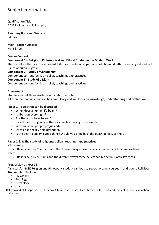# **Qualification Title**

GCSE Religion and Philosophy

#### **Awarding Body and Website** Eduqas

**Main Teacher Contact** Mr. Sillitoe

**Course Content**

# **Component 1 – Religious, Philosophical and Ethical Studies in the Modern World**

There are four themes in component 1 (Issues of relationships, issues of life and death, issues of good and evil, issues of human rights)

**Component 2 – Study of Christianity** Component content foci is on belief, teachings and practices

# **Component 3 - Study of a Islam**

Component content foci is on belief, teachings and practices

# **Assessment**

Students will sit **three** written examinations in total. All examination questions will be compulsory and will focus on **knowledge**, **understanding** and **evaluation**.

# **Paper 1: Topics that can be discussed**

- When does a human life begin?
- Is abortion every right?
- Are there positives to war?
- If God is all loving, why is there so much suffering in the word?
- Why are some people prejudiced?
- Does prison really help offenders?
- Is the death penalty a good thing? Would you bring back the death penalty to the UK?

# **Paper 2 & 3: The study of religions: beliefs, teachings and practices**

Christianity

• Beliefs held by Christians and the different ways these beliefs can reflect in Christian Practices Islam

• Beliefs held by Muslims and the different ways these beliefs can reflect in Islamic Practices

# **Progression at Post 16**

A successful GCSE Religion and Philosophy student can look to several A Level courses in addition to Religious Studies which include:

- Philosophy
- **Sociology**
- **Psychology**
- Law.

Religion and Philosophy is useful for any A Level that requires high literacy skills, structured thought, debate, evaluation and analysis.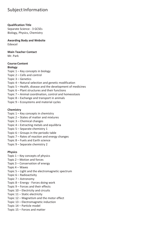#### **Qualification Title**

Separate Science - 3 GCSEs Biology, Physics, Chemistry

#### **Awarding Body and Website**

Edexcel

# **Main Teacher Contact**

Mr. Park

#### **Course Content**

#### **Biology**

- Topic 1 Key concepts in biology
- Topic 2 Cells and control
- Topic 3 Genetics
- Topic 4 Natural selection and genetic modification
- Topic 5 Health, disease and the development of medicines
- Topic 6 Plant structures and their functions
- Topic 7 Animal coordination, control and homeostasis
- Topic 8 Exchange and transport in animals
- Topic 9 Ecosystems and material cycles

# **Chemistry**

- Topic 1 Key concepts in chemistry
- Topic 2 States of matter and mixtures
- Topic 3 Chemical changes
- Topic 4 Extracting metals and equilibria
- Topic 5 Separate chemistry 1
- Topic 6 Groups in the periodic table
- Topic 7 Rates of reaction and energy changes
- Topic 8 Fuels and Earth science
- Topic 9 Separate chemistry 2

# **Physics**

- Topic 1 Key concepts of physics
- Topic 2 Motion and forces
- Topic 3 Conservation of energy
- Topic 4 Waves
- Topic 5 Light and the electromagnetic spectrum
- Topic 6 Radioactivity
- Topic 7 Astronomy
- Topic 8 Energy Forces doing work
- Topic 9 Forces and their effects
- Topic 10 Electricity and circuits
- Topic 11 Static electricity
- Topic 12 Magnetism and the motor effect
- Topic 13 Electromagnetic induction
- Topic 14 Particle model
- Topic 15 Forces and matter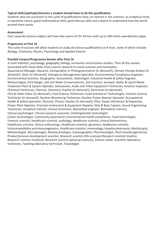#### **Typical skills/aptitude/interests a student should have to do this qualification**

Students who are successful in this suite of qualifications have: an interest in the sciences, an analytical mind, a inquisitive nature, good mathematical skills, good literacy skills and a desire to understand how the world around them works.

#### **Assessment**

Each separate Science subject will have two exams of 1hr 45mins with up to 100 marks awarded per paper.

#### **Progression at Post 16**

This suite of courses will allow students to study all science qualifications at A level, some of which include: Biology, Chemistry, Physics, Psychology and Applied Science.

# **Possible Careers/Progression Routes after Post 16**

A Level statistics, psychology, geography, biology, economics and business studies. Then all the careers associated with these fields from science research to social sciences and humanities. Aquaculture Manager, Aquarist, Cartographer or Photogrammetrist [in demand!], Climate Change Analyst [in demand!], Diver [in Demand!], Emergency Management Specialist, Environmental Compliance Inspector, Environmental Scientist, Geographer, Geoscientist, Hydrologist, Industrial Health & Safety Engineer, Meteorologist, Park Ranger, Soil and Water Conservationist, Soil Scientist, Surveyor, Water & Liquid Waste Treatment Plant & System Operator, Astronomer, Audio and Video Equipment Technician, Aviation Inspector, Chemical Technician, Chemist, Chemistry Teacher [in demand!], Electrician [in demand!], Film & Video Editor [in demand!], Food Science Technician, Food Scientist or Technologist, Forensic Science Technician [in demand!], Nuclear Monitoring Technician, Nuclear Power Reactor Operator, Occupational Health & Safety Specialist, Physicist, Physics Teacher [in demand!], Pilot, Power Distributor & Dispatcher, Power Plant Operator, Precision Instrument & Equipment Repairer, Ship & Boat Captain, Sound Engineering Technician, Analytical chemist, Animal technician, Biomedical engineer, Biomedical scientist, Clinical psychologist, Clinical research associate, Clothing/textile technologist Colour technologist, Community pharmacist, Environmental health practitioner, Food technologist, Forensic scientist, Healthcare scientist, audiology, Healthcare scientist, clinical biochemistry, Healthcare scientist, clinical embryology, Healthcare scientist, genomics, Healthcare scientist, histocompatibility and immunogenetics, Healthcare scientist, immunology, Hospital pharmacist, Metallurgist, Meteorologist, Microbiologist, Nanotechnologist, Oceanographer, Pharmacologist, Plant breeder/geneticist, Product/process development scientist, Research scientist (life sciences) Research scientist (maths), Research scientist (medical), Research scientist (physical sciences), Science writer, Scientific laboratory technician, Teaching laboratory technician, Toxicologist.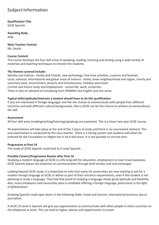**Qualification Title**

GCSE Spanish

**Awarding Body** AQA

**Main Teacher Contact** Ms. Searle

# **Course Content**

The course develops the four skill areas of speaking, reading, listening and writing using a wide variety of materials and teaching techniques to interest the students.

#### **The themes covered include:**

Identity and Culture - Family and Friends, new technology, free time activities, customs and festivals. Local, national, international and global areas of interest - home, town neighbourhood and region, charity and voluntary work, environment, poverty and homelessness, holidays and travel. Current and future study and employment - school life, work, university. There is also an element of translating from SPANISH into English and vice versa.

# **Typical skills/aptitude/interests a student should have to do this qualification**

If you are interested in foreign languages and like the chance to communicate with people from different countries and with different cultural backgrounds, then a GCSE can be the chance to achieve an extraordinary life skill.

#### **Assessment**

All four skill areas (reading/writing/listening/speaking) are examined. This is a linear two-year GCSE course.

All examinations will take place at the end of the 2 years of study and there is no coursework element. The oral examination is conducted by the class teacher. There is a tiering system and students will either be entered for the Foundation or Higher tier in all 4 skill areas. It is not possible to mix the tiers.

# **Progression at Post 16**

The study of GCSE Spanish could lead to A Level Spanish.

#### **Possible Careers/Progression Routes after Post 16**

Studying a modern language at GCSE is a life-long skill for education, employment or even travel purposes. GCSE Spanish places the emphasis on communication through both written and oral exchanges.

Looking beyond GCSE study, it is important to note that many UK universities are now starting to ask for a modern foreign language at GCSE or above as part of their entrance requirements, even if the student is not planning to study a language. They feel that proof of studying a language shows great aptitude and flexibility. Also, many employers look favourably upon a candidate offering a foreign language, particularly in the light of globalization.

Studying Spanish could open doors in the following fields: travel and tourism, international business, law or journalism.

A GCSE /A Level in Spanish will give you opportunities to communicate with other people in other countries on the telephone at work. This can lead to higher salaries and opportunities to travel.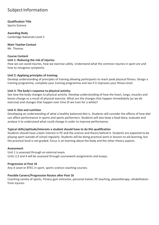# **Qualification Title**

Sports Science

# **Awarding Body**

Cambridge Nationals Level 2

# **Main Teacher Contact**

Mr. Thomas

# **Course Content**

#### **Unit 1: Reducing the risk of injuries:**

How we can avoid injuries, how we exercise safely. Understand what the common injuries in sport are and how to recognise symptoms.

# **Unit 2: Applying principles of training:**

Develop understanding of principles of training allowing participants to reach peak physical fitness. Design a training programme, complete your training programme and see if it improves your fitness level.

# **Unit 3: The body's response to physical activity:**

See how the body changes to physical activity. Develop understanding of how the heart, lungs, muscles and bones change as a result of physical exercise. What are the changes that happen immediately (as we do exercise) and changes that happen over time (if we train for a while)?

#### **Unit 4: Diet and nutrition**

Developing an understanding of what a healthy balanced diet is. Students will consider the effects of how diet can affect performance in sports and sports performers. Students will also keep a food diary, evaluate and analyse it to understand what could change in order to improve performance.

# **Typical skills/aptitude/interests a student should have to do this qualification**

Students should have a keen interest in PE and the science and theory behind it. Students are expected to be playing sport outside of school regularly. Students will be doing practical work in lessons to aid learning, but the practical level is not graded. Focus is on learning about the body and the other theory aspects.

#### **Assessment**

Unit 1 is assessed through an external exam. Units 2,3 and 4 will be assessed through coursework assignments and essays.

#### **Progression at Post 16**

Any A Level or BTEC in sport, sports science coaching courses.

# **Possible Careers/Progression Routes after Post 16**

Coaching variety of sports, Fitness gym instructor, personal trainer, PE teaching, physiotherapy, rehabilitation from injuries.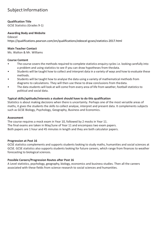#### **Qualification Title**

GCSE Statistics (Grades 9-1)

#### **Awarding Body and Website**

Edexcel https://qualifications.pearson.com/en/qualifications/edexcel-gcses/statistics-2017.html

#### **Main Teacher Contact**

Ms. Walton & Mr. Williams

#### **Course Content**

- The course covers the methods required to complete statistics enquiry cycles i.e. looking carefully into a problem and using statistics to see if you can draw hypotheses from thedata.
- Students will be taught how to collect and interpret data in a variety of ways and how to evaluate these methods.
- Students will be taught how to analyse the data using a variety of mathematical methods from diagrams to calculations. They will then use these to draw conclusions from thedata.
- The data students will look at will come from every area of life from weather, football statistics to political and social data.

#### **Typical skills/aptitude/interests a student should have to do this qualification**

Statistics is about making decisions when there is uncertainty. Perhaps one of the most versatile areas of maths, it gives the students the skills to collect analyse, interpret and present data. It complements subjects such as GCSE Biology, Psychology, Geography, Business and Economics.

#### **Assessment**

The course requires a mock exam in Year 10, followed by 2 mocks in Year 11. The final exams are taken in May/June of Year 11 and encompass two exam papers. Both papers are 1 hour and 45 minutes in length and they are both calculator papers.

#### **Progression at Post 16**

GCSE statistics complements and supports students looking to study maths, humanities and social sciences at GCSE. GCSE statistics also supports students looking for future careers, which range from finances to weather forecasting to biological sciences.

#### **Possible Careers/Progression Routes after Post 16**

A Level statistics, psychology, geography, biology, economics and business studies. Then all the careers associated with these fields from science research to social sciences and humanities.